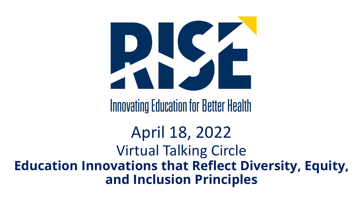

**Education Innovations that Reflect Diversity, Equity, and Inclusion Principles**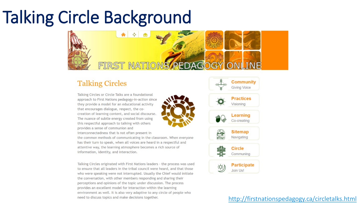# Talking Circle Background



#### **Talking Circles**

Talking Circles or Circle Talks are a foundational approach to First Nations pedagogy-in-action since they provide a model for an educational activity that encourages dialogue, respect, the cocreation of learning content, and social discourse. The nuance of subtle energy created from using this respectful approach to talking with others provides a sense of communion and

interconnectedness that is not often present in

the common methods of communicating in the classroom. When everyone has their turn to speak, when all voices are heard in a respectful and attentive way, the learning atmosphere becomes a rich source of information, identity, and interaction.

Talking Circles originated with First Nations leaders - the process was used to ensure that all leaders in the tribal council were heard, and that those who were speaking were not interrupted. Usually the Chief would initiate the conversation, with other members responding and sharing their perceptions and opinions of the topic under discussion. The process provides an excellent model for interaction within the learning environment as well. It is also very adaptive to any circle of people who need to discuss topics and make decisions together.



#### [http://firstnationspedagogy.ca/circletalks.html](about:blank)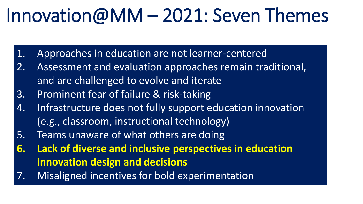# Innovation@MM – 2021: Seven Themes

- 1. Approaches in education are not learner-centered
- 2. Assessment and evaluation approaches remain traditional, and are challenged to evolve and iterate
- 3. Prominent fear of failure & risk-taking
- 4. Infrastructure does not fully support education innovation (e.g., classroom, instructional technology)
- 5. Teams unaware of what others are doing
- **6. Lack of diverse and inclusive perspectives in education innovation design and decisions**
- 7. Misaligned incentives for bold experimentation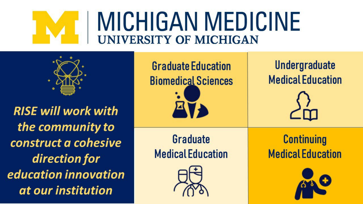# **MICHIGAN MEDICINE UNIVERSITY OF MICHIGAN**

**RISE will work with** the community to construct a cohesive direction for education innovation at our institution

**Graduate Education Biomedical Sciences** Graduate **Medical Education** 



**Undergraduate Medical Education** 



**Continuing Medical Education** 

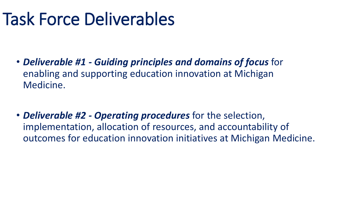# Task Force Deliverables

• *Deliverable #1 - Guiding principles and domains of focus* for enabling and supporting education innovation at Michigan Medicine.

• *Deliverable #2 - Operating procedures* for the selection, implementation, allocation of resources, and accountability of outcomes for education innovation initiatives at Michigan Medicine.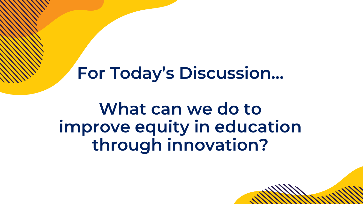## **For Today's Discussion…**

## **What can we do to improve equity in education through innovation?**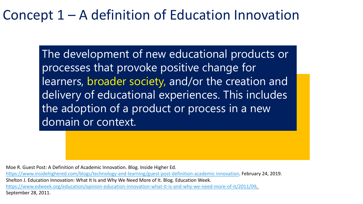#### Concept 1 – A definition of Education Innovation

The development of new educational products or processes that provoke positive change for learners, broader society, and/or the creation and delivery of educational experiences. This includes the adoption of a product or process in a new domain or context.

Moe R. Guest Post: A Definition of Academic Innovation. Blog. Inside Higher Ed.

[https://www.insidehighered.com/blogs/technology-and-learning/guest-post-definition-academic innovation](https://www.insidehighered.com/blogs/technology-and-learning/guest-post-definition-academic-innovation). February 24, 2019. Shelton J. Education Innovation: What It Is and Why We Need More of It. Blog. Education Week. <https://www.edweek.org/education/opinion-education-innovation-what-it-is-and-why-we-need-more-of-it/2011/09>. September 28, 2011.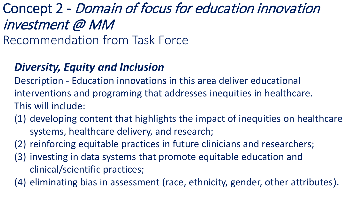### Concept 2 - Domain of focus for education innovation investment @ MM

Recommendation from Task Force

#### *Diversity, Equity and Inclusion*

Description - Education innovations in this area deliver educational interventions and programing that addresses inequities in healthcare. This will include:

- (1) developing content that highlights the impact of inequities on healthcare systems, healthcare delivery, and research;
- (2) reinforcing equitable practices in future clinicians and researchers;
- (3) investing in data systems that promote equitable education and clinical/scientific practices;
- (4) eliminating bias in assessment (race, ethnicity, gender, other attributes).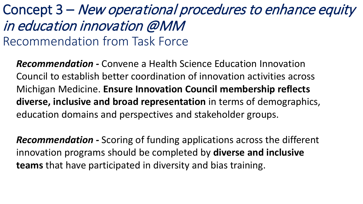### Concept 3 – New operational procedures to enhance equity in education innovation @MM Recommendation from Task Force

*Recommendation -* Convene a Health Science Education Innovation Council to establish better coordination of innovation activities across Michigan Medicine. **Ensure Innovation Council membership reflects diverse, inclusive and broad representation** in terms of demographics, education domains and perspectives and stakeholder groups.

*Recommendation -* Scoring of funding applications across the different innovation programs should be completed by **diverse and inclusive teams** that have participated in diversity and bias training.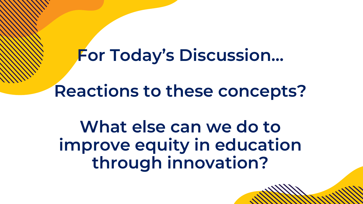## **For Today's Discussion…**

**Reactions to these concepts?**

**What else can we do to improve equity in education through innovation?**